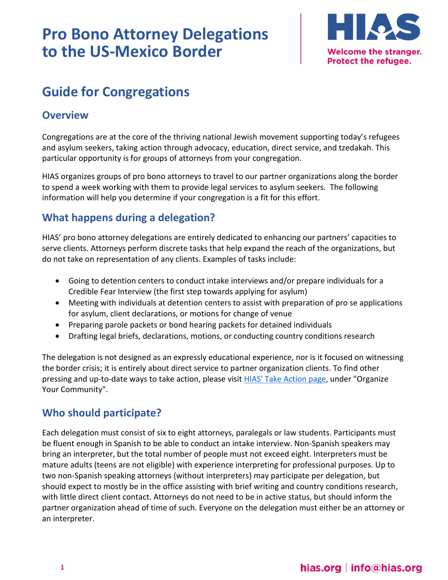# **Pro Bono Attorney Delegations to the US-Mexico Border**



# **Guide for Congregations**

### **Overview**

Congregations are at the core of the thriving national Jewish movement supporting today's refugees and asylum seekers, taking action through advocacy, education, direct service, and tzedakah. This particular opportunity is for groups of attorneys from your congregation.

HIAS organizes groups of pro bono attorneys to travel to our partner organizations along the border to spend a week working with them to provide legal services to asylum seekers. The following information will help you determine if your congregation is a fit for this effort.

# **What happens during a delegation?**

HIAS' pro bono attorney delegations are entirely dedicated to enhancing our partners' capacities to serve clients. Attorneys perform discrete tasks that help expand the reach of the organizations, but do not take on representation of any clients. Examples of tasks include:

- Going to detention centers to conduct intake interviews and/or prepare individuals for a Credible Fear Interview (the first step towards applying for asylum)
- Meeting with individuals at detention centers to assist with preparation of pro se applications for asylum, client declarations, or motions for change of venue
- Preparing parole packets or bond hearing packets for detained individuals
- Drafting legal briefs, declarations, motions, or conducting country conditions research

The delegation is not designed as an expressly educational experience, nor is it focused on witnessing the border crisis; it is entirely about direct service to partner organization clients. To find other pressing and up-to-date ways to take action, please visit **HIAS'** Take Action page, under "Organize Your Community".

# **Who should participate?**

Each delegation must consist of six to eight attorneys, paralegals or law students. Participants must be fluent enough in Spanish to be able to conduct an intake interview. Non-Spanish speakers may bring an interpreter, but the total number of people must not exceed eight. Interpreters must be mature adults (teens are not eligible) with experience interpreting for professional purposes. Up to two non-Spanish speaking attorneys (without interpreters) may participate per delegation, but should expect to mostly be in the office assisting with brief writing and country conditions research, with little direct client contact. Attorneys do not need to be in active status, but should inform the partner organization ahead of time of such. Everyone on the delegation must either be an attorney or an interpreter.